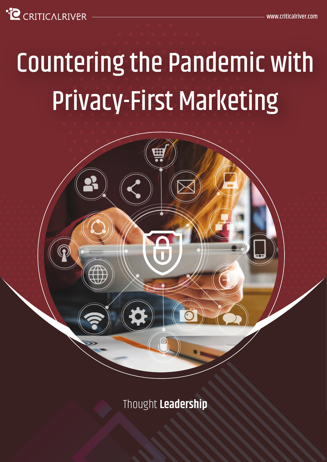**C** CRITICALRIVER

# Countering the Pandemic with Privacy-First Marketing



Thought **Leadership**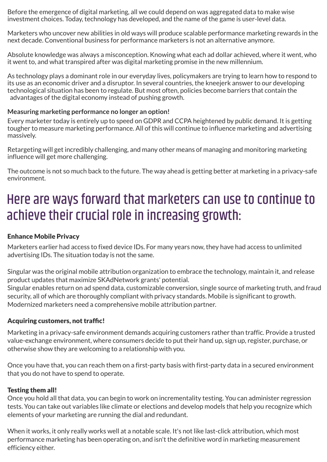Before the emergence of digital marketing, all we could depend on was aggregated data to make wise investment choices. Today, technology has developed, and the name of the game is user-level data.

Marketers who uncover new abilities in old ways will produce scalable performance marketing rewards in the next decade. Conventional business for performance marketers is not an alternative anymore.

Absolute knowledge was always a misconception. Knowing what each ad dollar achieved, where it went, who it went to, and what transpired after was digital marketing promise in the new millennium.

As technology plays a dominant role in our everyday lives, policymakers are trying to learn how to respond to its use as an economic driver and a disruptor. In several countries, the kneejerk answer to our developing technological situation has been to regulate. But most often, policies become barriers that contain the advantages of the digital economy instead of pushing growth.

#### **Measuring marketing performance no longer an option!**

Every marketer today is entirely up to speed on GDPR and CCPA heightened by public demand. It is getting tougher to measure marketing performance. All of this will continue to influence marketing and advertising massively.

Retargeting will get incredibly challenging, and many other means of managing and monitoring marketing influence will get more challenging.

The outcome is not so much back to the future. The way ahead is getting better at marketing in a privacy-safe environment.

## Here are ways forward that marketers can use to continue to achieve their crucial role in increasing growth:

### Enhance Mobile Privacy

Marketers earlier had access to fixed device IDs. For many years now, they have had access to unlimited advertising IDs. The situation today is not the same.

Singular was the original mobile attribution organization to embrace the technology, maintain it, and release product updates that maximize SKAdNetwork grants' potential.

Singular enables return on ad spend data, customizable conversion, single source of marketing truth, and fraud security, all of which are thoroughly compliant with privacy standards. Mobile is significant to growth. Modernized marketers need a comprehensive mobile attribution partner.

#### Acquiring customers, not traffic!

Marketing in a privacy-safe environment demands acquiring customers rather than traffic. Provide a trusted value-exchange environment, where consumers decide to put their hand up, sign up, register, purchase, or otherwise show they are welcoming to a relationship with you.

Once you have that, you can reach them on a first-party basis with first-party data in a secured environment that you do not have to spend to operate.

#### Testing them all!

Once you hold all that data, you can begin to work on incrementality testing. You can administer regression tests. You can take out variables like climate or elections and develop models that help you recognize which elements of your marketing are running the dial and redundant.

When it works, it only really works well at a notable scale. It's not like last-click attribution, which most performance marketing has been operating on, and isn't the definitive word in marketing measurement efficiency either.